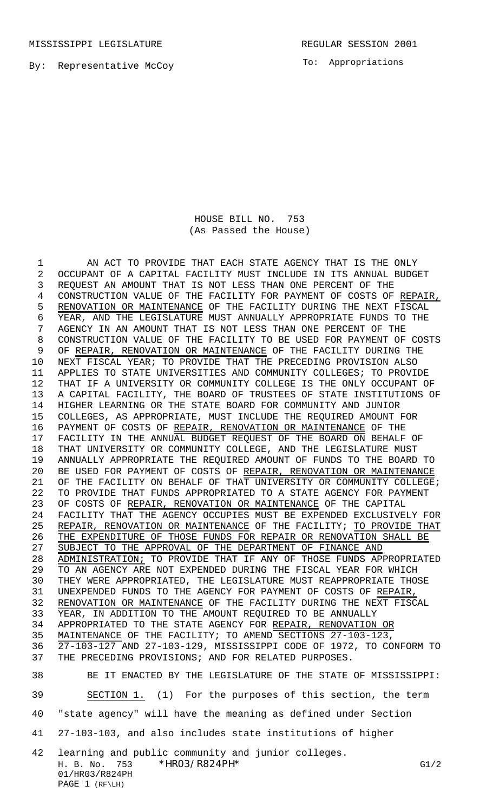MISSISSIPPI LEGISLATURE **REGULAR SESSION 2001** 

By: Representative McCoy

To: Appropriations

HOUSE BILL NO. 753 (As Passed the House)

 AN ACT TO PROVIDE THAT EACH STATE AGENCY THAT IS THE ONLY OCCUPANT OF A CAPITAL FACILITY MUST INCLUDE IN ITS ANNUAL BUDGET REQUEST AN AMOUNT THAT IS NOT LESS THAN ONE PERCENT OF THE 4 CONSTRUCTION VALUE OF THE FACILITY FOR PAYMENT OF COSTS OF REPAIR, 5 RENOVATION OR MAINTENANCE OF THE FACILITY DURING THE NEXT FISCAL YEAR, AND THE LEGISLATURE MUST ANNUALLY APPROPRIATE FUNDS TO THE AGENCY IN AN AMOUNT THAT IS NOT LESS THAN ONE PERCENT OF THE CONSTRUCTION VALUE OF THE FACILITY TO BE USED FOR PAYMENT OF COSTS 9 OF REPAIR, RENOVATION OR MAINTENANCE OF THE FACILITY DURING THE NEXT FISCAL YEAR; TO PROVIDE THAT THE PRECEDING PROVISION ALSO APPLIES TO STATE UNIVERSITIES AND COMMUNITY COLLEGES; TO PROVIDE THAT IF A UNIVERSITY OR COMMUNITY COLLEGE IS THE ONLY OCCUPANT OF A CAPITAL FACILITY, THE BOARD OF TRUSTEES OF STATE INSTITUTIONS OF HIGHER LEARNING OR THE STATE BOARD FOR COMMUNITY AND JUNIOR COLLEGES, AS APPROPRIATE, MUST INCLUDE THE REQUIRED AMOUNT FOR 16 PAYMENT OF COSTS OF REPAIR, RENOVATION OR MAINTENANCE OF THE FACILITY IN THE ANNUAL BUDGET REQUEST OF THE BOARD ON BEHALF OF THAT UNIVERSITY OR COMMUNITY COLLEGE, AND THE LEGISLATURE MUST ANNUALLY APPROPRIATE THE REQUIRED AMOUNT OF FUNDS TO THE BOARD TO 20 BE USED FOR PAYMENT OF COSTS OF REPAIR, RENOVATION OR MAINTENANCE 21 OF THE FACILITY ON BEHALF OF THAT UNIVERSITY OR COMMUNITY COLLEGE; TO PROVIDE THAT FUNDS APPROPRIATED TO A STATE AGENCY FOR PAYMENT 23 OF COSTS OF REPAIR, RENOVATION OR MAINTENANCE OF THE CAPITAL FACILITY THAT THE AGENCY OCCUPIES MUST BE EXPENDED EXCLUSIVELY FOR 25 REPAIR, RENOVATION OR MAINTENANCE OF THE FACILITY; TO PROVIDE THAT 26 THE EXPENDITURE OF THOSE FUNDS FOR REPAIR OR RENOVATION SHALL BE 27 SUBJECT TO THE APPROVAL OF THE DEPARTMENT OF FINANCE AND 28 ADMINISTRATION; TO PROVIDE THAT IF ANY OF THOSE FUNDS APPROPRIATED TO AN AGENCY ARE NOT EXPENDED DURING THE FISCAL YEAR FOR WHICH THEY WERE APPROPRIATED, THE LEGISLATURE MUST REAPPROPRIATE THOSE UNEXPENDED FUNDS TO THE AGENCY FOR PAYMENT OF COSTS OF REPAIR, 32 RENOVATION OR MAINTENANCE OF THE FACILITY DURING THE NEXT FISCAL YEAR, IN ADDITION TO THE AMOUNT REQUIRED TO BE ANNUALLY APPROPRIATED TO THE STATE AGENCY FOR REPAIR, RENOVATION OR MAINTENANCE OF THE FACILITY; TO AMEND SECTIONS 27-103-123, 27-103-127 AND 27-103-129, MISSISSIPPI CODE OF 1972, TO CONFORM TO THE PRECEDING PROVISIONS; AND FOR RELATED PURPOSES. BE IT ENACTED BY THE LEGISLATURE OF THE STATE OF MISSISSIPPI: SECTION 1. (1) For the purposes of this section, the term "state agency" will have the meaning as defined under Section

41 27-103-103, and also includes state institutions of higher

H. B. No. 753 \*HR03/R824PH\* G1/2 01/HR03/R824PH PAGE 1 (RF\LH) 42 learning and public community and junior colleges.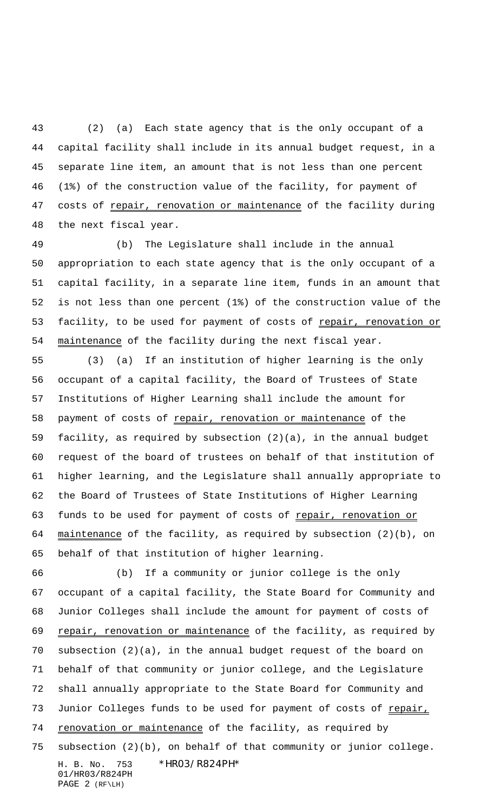(2) (a) Each state agency that is the only occupant of a capital facility shall include in its annual budget request, in a separate line item, an amount that is not less than one percent (1%) of the construction value of the facility, for payment of 47 costs of repair, renovation or maintenance of the facility during the next fiscal year.

 (b) The Legislature shall include in the annual appropriation to each state agency that is the only occupant of a capital facility, in a separate line item, funds in an amount that is not less than one percent (1%) of the construction value of the 53 facility, to be used for payment of costs of repair, renovation or maintenance of the facility during the next fiscal year.

 (3) (a) If an institution of higher learning is the only occupant of a capital facility, the Board of Trustees of State Institutions of Higher Learning shall include the amount for payment of costs of repair, renovation or maintenance of the facility, as required by subsection (2)(a), in the annual budget request of the board of trustees on behalf of that institution of higher learning, and the Legislature shall annually appropriate to the Board of Trustees of State Institutions of Higher Learning 63 funds to be used for payment of costs of repair, renovation or maintenance of the facility, as required by subsection (2)(b), on behalf of that institution of higher learning.

H. B. No. 753 \*HR03/R824PH\* 01/HR03/R824PH PAGE 2 (RF\LH) (b) If a community or junior college is the only occupant of a capital facility, the State Board for Community and Junior Colleges shall include the amount for payment of costs of 69 repair, renovation or maintenance of the facility, as required by subsection (2)(a), in the annual budget request of the board on behalf of that community or junior college, and the Legislature shall annually appropriate to the State Board for Community and 73 Junior Colleges funds to be used for payment of costs of repair, 74 renovation or maintenance of the facility, as required by subsection (2)(b), on behalf of that community or junior college.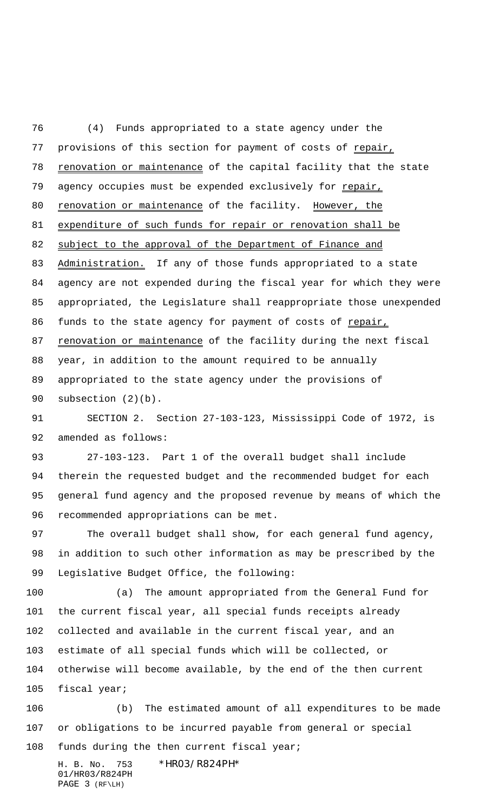(4) Funds appropriated to a state agency under the 77 provisions of this section for payment of costs of repair, 78 renovation or maintenance of the capital facility that the state 79 agency occupies must be expended exclusively for repair, 80 renovation or maintenance of the facility. However, the 81 expenditure of such funds for repair or renovation shall be 82 subject to the approval of the Department of Finance and 83 Administration. If any of those funds appropriated to a state agency are not expended during the fiscal year for which they were appropriated, the Legislature shall reappropriate those unexpended 86 funds to the state agency for payment of costs of repair, 87 renovation or maintenance of the facility during the next fiscal year, in addition to the amount required to be annually appropriated to the state agency under the provisions of subsection (2)(b).

 SECTION 2. Section 27-103-123, Mississippi Code of 1972, is amended as follows:

 27-103-123. Part 1 of the overall budget shall include therein the requested budget and the recommended budget for each general fund agency and the proposed revenue by means of which the recommended appropriations can be met.

97 The overall budget shall show, for each general fund agency, in addition to such other information as may be prescribed by the Legislative Budget Office, the following:

 (a) The amount appropriated from the General Fund for the current fiscal year, all special funds receipts already collected and available in the current fiscal year, and an estimate of all special funds which will be collected, or otherwise will become available, by the end of the then current fiscal year;

 (b) The estimated amount of all expenditures to be made or obligations to be incurred payable from general or special 108 funds during the then current fiscal year;

H. B. No. 753 \*HR03/R824PH\* 01/HR03/R824PH PAGE 3 (RF\LH)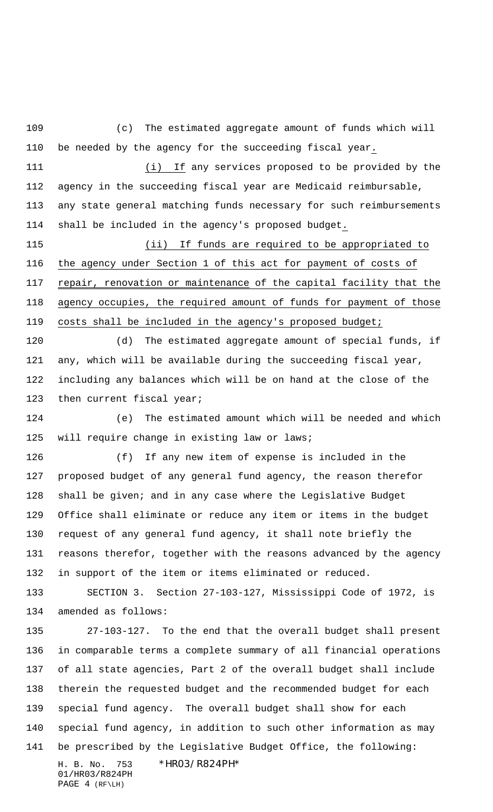H. B. No. 753 \*HR03/R824PH\* 01/HR03/R824PH PAGE 4 (RF\LH) (c) The estimated aggregate amount of funds which will be needed by the agency for the succeeding fiscal year. (i) If any services proposed to be provided by the agency in the succeeding fiscal year are Medicaid reimbursable, any state general matching funds necessary for such reimbursements shall be included in the agency's proposed budget. (ii) If funds are required to be appropriated to the agency under Section 1 of this act for payment of costs of 117 repair, renovation or maintenance of the capital facility that the agency occupies, the required amount of funds for payment of those 119 costs shall be included in the agency's proposed budget; (d) The estimated aggregate amount of special funds, if any, which will be available during the succeeding fiscal year, including any balances which will be on hand at the close of the 123 then current fiscal year; (e) The estimated amount which will be needed and which 125 will require change in existing law or laws; (f) If any new item of expense is included in the proposed budget of any general fund agency, the reason therefor shall be given; and in any case where the Legislative Budget Office shall eliminate or reduce any item or items in the budget request of any general fund agency, it shall note briefly the reasons therefor, together with the reasons advanced by the agency in support of the item or items eliminated or reduced. SECTION 3. Section 27-103-127, Mississippi Code of 1972, is amended as follows: 27-103-127. To the end that the overall budget shall present in comparable terms a complete summary of all financial operations of all state agencies, Part 2 of the overall budget shall include therein the requested budget and the recommended budget for each special fund agency. The overall budget shall show for each special fund agency, in addition to such other information as may be prescribed by the Legislative Budget Office, the following: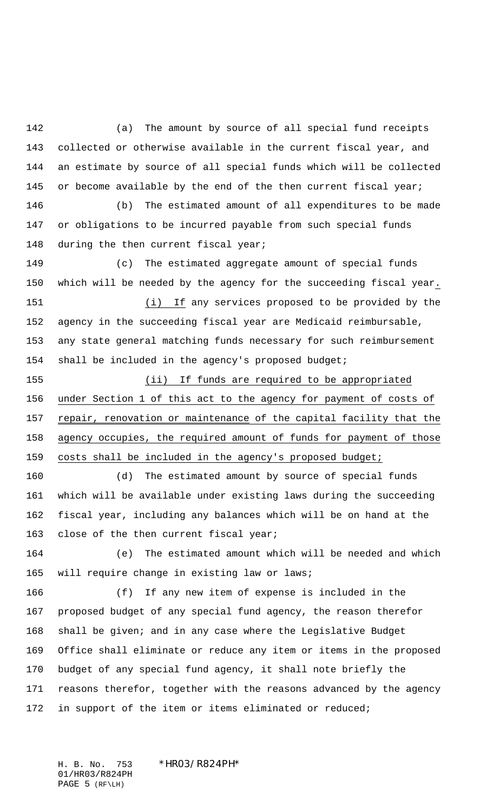(a) The amount by source of all special fund receipts collected or otherwise available in the current fiscal year, and an estimate by source of all special funds which will be collected 145 or become available by the end of the then current fiscal year;

 (b) The estimated amount of all expenditures to be made or obligations to be incurred payable from such special funds 148 during the then current fiscal year;

 (c) The estimated aggregate amount of special funds which will be needed by the agency for the succeeding fiscal year. (i) If any services proposed to be provided by the agency in the succeeding fiscal year are Medicaid reimbursable, any state general matching funds necessary for such reimbursement shall be included in the agency's proposed budget;

 (ii) If funds are required to be appropriated under Section 1 of this act to the agency for payment of costs of 157 repair, renovation or maintenance of the capital facility that the agency occupies, the required amount of funds for payment of those 159 costs shall be included in the agency's proposed budget;

 (d) The estimated amount by source of special funds which will be available under existing laws during the succeeding fiscal year, including any balances which will be on hand at the 163 close of the then current fiscal year;

 (e) The estimated amount which will be needed and which 165 will require change in existing law or laws;

 (f) If any new item of expense is included in the proposed budget of any special fund agency, the reason therefor shall be given; and in any case where the Legislative Budget Office shall eliminate or reduce any item or items in the proposed budget of any special fund agency, it shall note briefly the reasons therefor, together with the reasons advanced by the agency in support of the item or items eliminated or reduced;

H. B. No. 753 \*HR03/R824PH\* 01/HR03/R824PH PAGE 5 (RF\LH)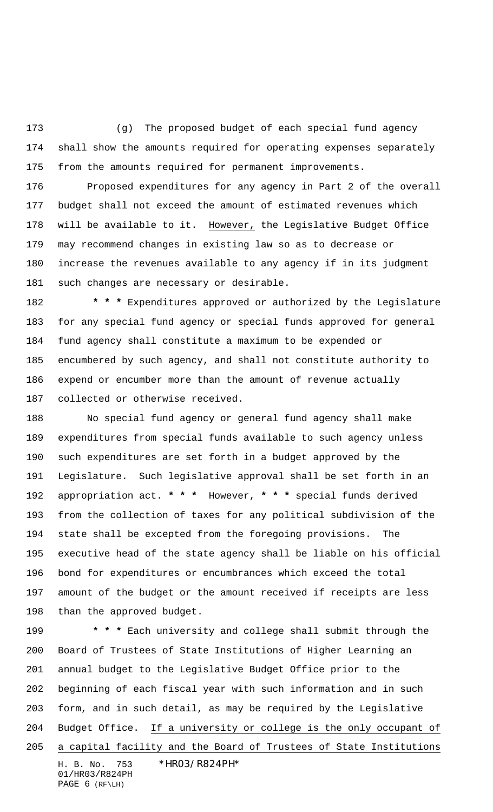(g) The proposed budget of each special fund agency shall show the amounts required for operating expenses separately from the amounts required for permanent improvements.

 Proposed expenditures for any agency in Part 2 of the overall budget shall not exceed the amount of estimated revenues which will be available to it. However, the Legislative Budget Office may recommend changes in existing law so as to decrease or increase the revenues available to any agency if in its judgment such changes are necessary or desirable.

 **\* \* \*** Expenditures approved or authorized by the Legislature for any special fund agency or special funds approved for general fund agency shall constitute a maximum to be expended or encumbered by such agency, and shall not constitute authority to expend or encumber more than the amount of revenue actually collected or otherwise received.

 No special fund agency or general fund agency shall make expenditures from special funds available to such agency unless such expenditures are set forth in a budget approved by the Legislature. Such legislative approval shall be set forth in an appropriation act. **\* \* \*** However, **\* \* \*** special funds derived from the collection of taxes for any political subdivision of the state shall be excepted from the foregoing provisions. The executive head of the state agency shall be liable on his official bond for expenditures or encumbrances which exceed the total amount of the budget or the amount received if receipts are less than the approved budget.

H. B. No. 753 \*HR03/R824PH\* 01/HR03/R824PH PAGE 6 (RF\LH)  **\* \* \*** Each university and college shall submit through the Board of Trustees of State Institutions of Higher Learning an annual budget to the Legislative Budget Office prior to the beginning of each fiscal year with such information and in such form, and in such detail, as may be required by the Legislative Budget Office. If a university or college is the only occupant of a capital facility and the Board of Trustees of State Institutions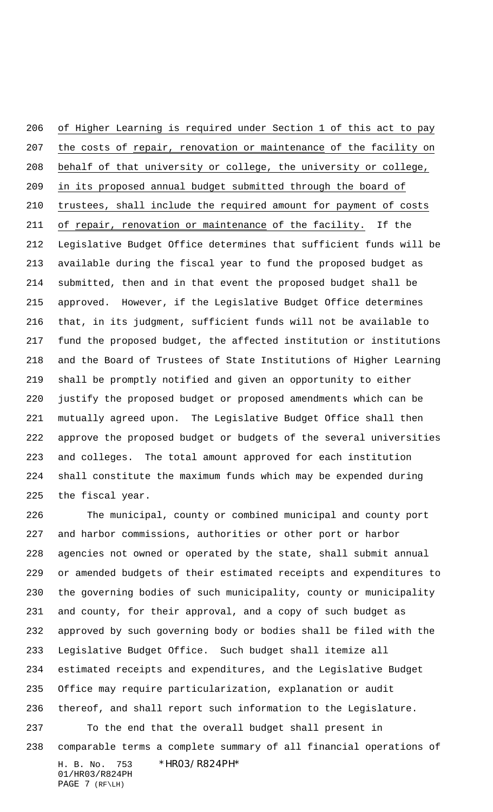of Higher Learning is required under Section 1 of this act to pay 207 the costs of repair, renovation or maintenance of the facility on behalf of that university or college, the university or college, in its proposed annual budget submitted through the board of trustees, shall include the required amount for payment of costs 211 of repair, renovation or maintenance of the facility. If the Legislative Budget Office determines that sufficient funds will be available during the fiscal year to fund the proposed budget as submitted, then and in that event the proposed budget shall be approved. However, if the Legislative Budget Office determines that, in its judgment, sufficient funds will not be available to fund the proposed budget, the affected institution or institutions and the Board of Trustees of State Institutions of Higher Learning shall be promptly notified and given an opportunity to either justify the proposed budget or proposed amendments which can be mutually agreed upon. The Legislative Budget Office shall then approve the proposed budget or budgets of the several universities and colleges. The total amount approved for each institution shall constitute the maximum funds which may be expended during the fiscal year.

 The municipal, county or combined municipal and county port and harbor commissions, authorities or other port or harbor agencies not owned or operated by the state, shall submit annual or amended budgets of their estimated receipts and expenditures to the governing bodies of such municipality, county or municipality and county, for their approval, and a copy of such budget as approved by such governing body or bodies shall be filed with the Legislative Budget Office. Such budget shall itemize all estimated receipts and expenditures, and the Legislative Budget Office may require particularization, explanation or audit thereof, and shall report such information to the Legislature. To the end that the overall budget shall present in

comparable terms a complete summary of all financial operations of

H. B. No. 753 \*HR03/R824PH\* 01/HR03/R824PH PAGE 7 (RF\LH)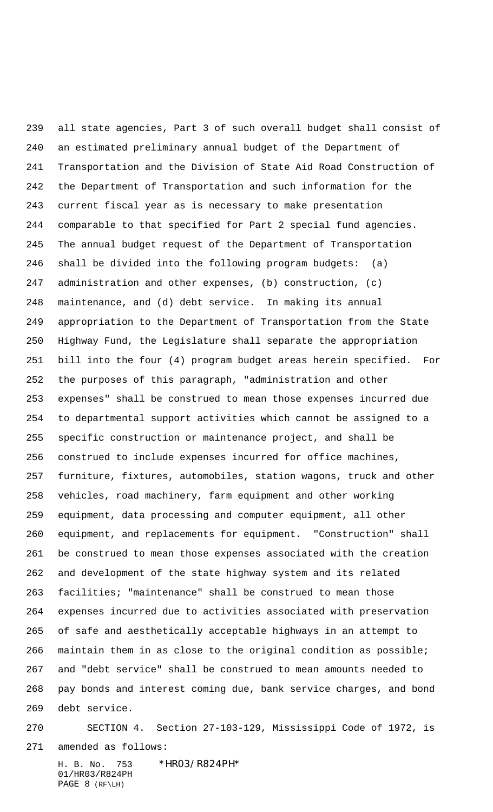all state agencies, Part 3 of such overall budget shall consist of an estimated preliminary annual budget of the Department of Transportation and the Division of State Aid Road Construction of the Department of Transportation and such information for the current fiscal year as is necessary to make presentation comparable to that specified for Part 2 special fund agencies. The annual budget request of the Department of Transportation shall be divided into the following program budgets: (a) administration and other expenses, (b) construction, (c) maintenance, and (d) debt service. In making its annual appropriation to the Department of Transportation from the State Highway Fund, the Legislature shall separate the appropriation bill into the four (4) program budget areas herein specified. For the purposes of this paragraph, "administration and other expenses" shall be construed to mean those expenses incurred due to departmental support activities which cannot be assigned to a specific construction or maintenance project, and shall be construed to include expenses incurred for office machines, furniture, fixtures, automobiles, station wagons, truck and other vehicles, road machinery, farm equipment and other working equipment, data processing and computer equipment, all other equipment, and replacements for equipment. "Construction" shall be construed to mean those expenses associated with the creation and development of the state highway system and its related facilities; "maintenance" shall be construed to mean those expenses incurred due to activities associated with preservation of safe and aesthetically acceptable highways in an attempt to maintain them in as close to the original condition as possible; and "debt service" shall be construed to mean amounts needed to pay bonds and interest coming due, bank service charges, and bond debt service.

 SECTION 4. Section 27-103-129, Mississippi Code of 1972, is amended as follows:

H. B. No. 753 \*HR03/R824PH\* 01/HR03/R824PH PAGE 8 (RF\LH)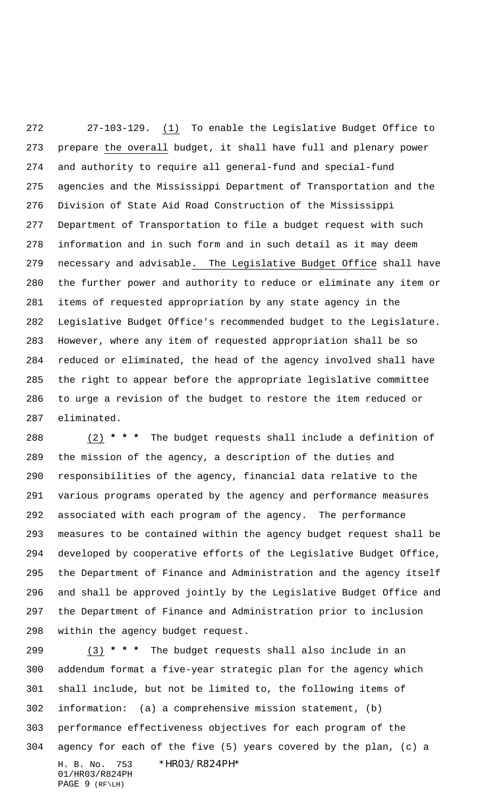27-103-129. (1) To enable the Legislative Budget Office to prepare the overall budget, it shall have full and plenary power and authority to require all general-fund and special-fund agencies and the Mississippi Department of Transportation and the Division of State Aid Road Construction of the Mississippi Department of Transportation to file a budget request with such information and in such form and in such detail as it may deem necessary and advisable. The Legislative Budget Office shall have the further power and authority to reduce or eliminate any item or items of requested appropriation by any state agency in the Legislative Budget Office's recommended budget to the Legislature. However, where any item of requested appropriation shall be so reduced or eliminated, the head of the agency involved shall have the right to appear before the appropriate legislative committee to urge a revision of the budget to restore the item reduced or eliminated.

 (2) **\* \* \*** The budget requests shall include a definition of the mission of the agency, a description of the duties and responsibilities of the agency, financial data relative to the various programs operated by the agency and performance measures associated with each program of the agency. The performance measures to be contained within the agency budget request shall be developed by cooperative efforts of the Legislative Budget Office, the Department of Finance and Administration and the agency itself and shall be approved jointly by the Legislative Budget Office and the Department of Finance and Administration prior to inclusion within the agency budget request.

H. B. No. 753 \*HR03/R824PH\* 01/HR03/R824PH PAGE 9 (RF\LH) (3) **\* \* \*** The budget requests shall also include in an addendum format a five-year strategic plan for the agency which shall include, but not be limited to, the following items of information: (a) a comprehensive mission statement, (b) performance effectiveness objectives for each program of the agency for each of the five (5) years covered by the plan, (c) a